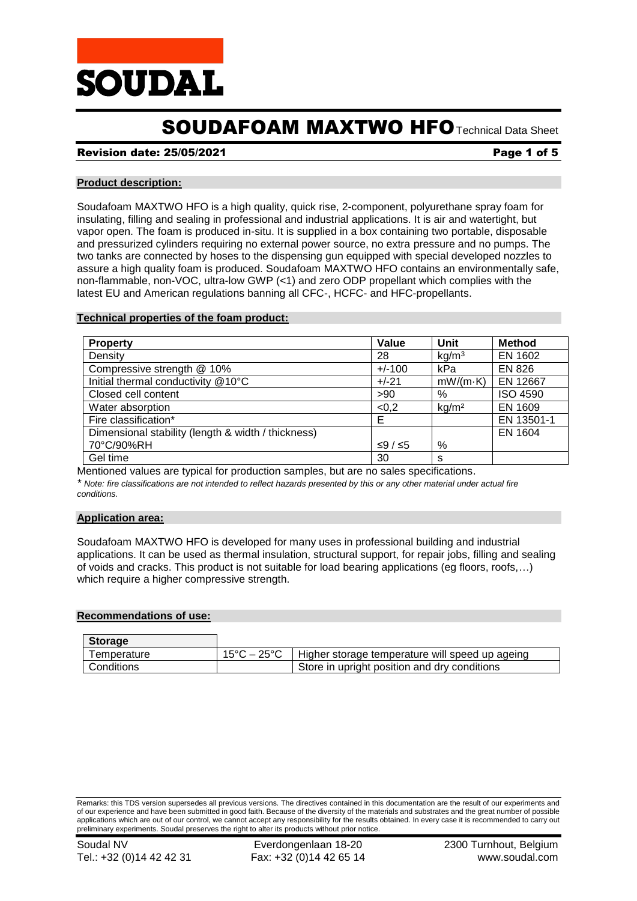

# SOUDAFOAM MAXTWO HFOTechnical Data Sheet

## Revision date: 25/05/2021 **Page 1 of 5** and 2011 **Page 1 of 5**

## **Product description:**

Soudafoam MAXTWO HFO is a high quality, quick rise, 2-component, polyurethane spray foam for insulating, filling and sealing in professional and industrial applications. It is air and watertight, but vapor open. The foam is produced in-situ. It is supplied in a box containing two portable, disposable and pressurized cylinders requiring no external power source, no extra pressure and no pumps. The two tanks are connected by hoses to the dispensing gun equipped with special developed nozzles to assure a high quality foam is produced. Soudafoam MAXTWO HFO contains an environmentally safe, non-flammable, non-VOC, ultra-low GWP (<1) and zero ODP propellant which complies with the latest EU and American regulations banning all CFC-, HCFC- and HFC-propellants.

## **Technical properties of the foam product:**

| <b>Property</b>                                    | Value    | Unit              | <b>Method</b>   |
|----------------------------------------------------|----------|-------------------|-----------------|
| Density                                            | 28       | kg/m <sup>3</sup> | EN 1602         |
| Compressive strength @ 10%                         | $+/-100$ | kPa               | <b>EN 826</b>   |
| Initial thermal conductivity @10°C                 | $+/-21$  | $mW/(m \cdot K)$  | EN 12667        |
| Closed cell content                                | >90      | %                 | <b>ISO 4590</b> |
| Water absorption                                   | < 0, 2   | kg/m <sup>2</sup> | EN 1609         |
| Fire classification*                               | Е        |                   | EN 13501-1      |
| Dimensional stability (length & width / thickness) |          |                   | EN 1604         |
| 70°C/90%RH                                         | ≤9/≤5    | %                 |                 |
| Gel time                                           | 30       | s                 |                 |

Mentioned values are typical for production samples, but are no sales specifications. *\* Note: fire classifications are not intended to reflect hazards presented by this or any other material under actual fire conditions.*

#### **Application area:**

Soudafoam MAXTWO HFO is developed for many uses in professional building and industrial applications. It can be used as thermal insulation, structural support, for repair jobs, filling and sealing of voids and cracks. This product is not suitable for load bearing applications (eg floors, roofs,…) which require a higher compressive strength.

#### **Recommendations of use:**

| <b>Storage</b> |             |                                                 |
|----------------|-------------|-------------------------------------------------|
| Temperature    | 15°C – 25°C | Higher storage temperature will speed up ageing |
| Conditions     |             | Store in upright position and dry conditions    |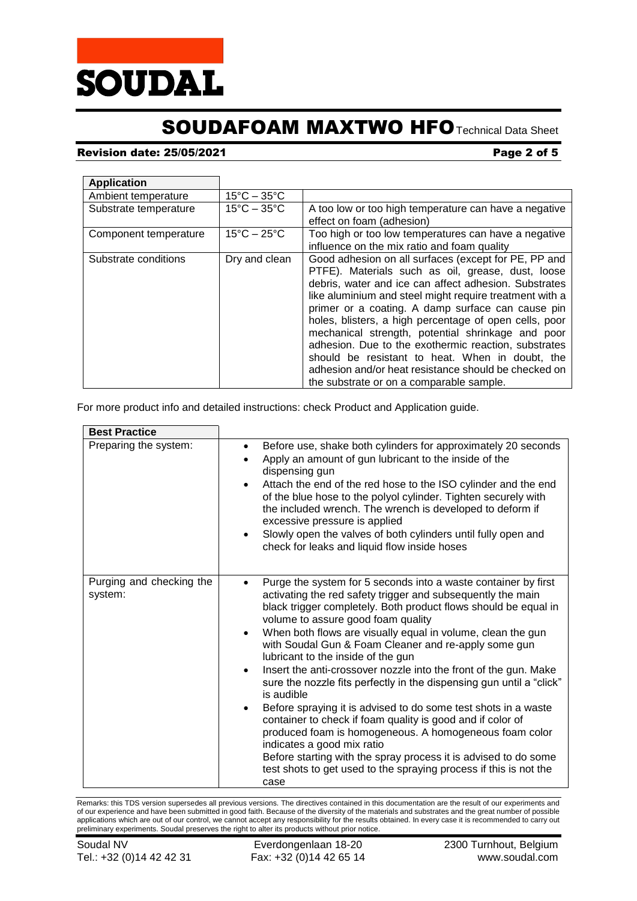

# SOUDAFOAM MAXTWO HFOTechnical Data Sheet

# **Revision date: 25/05/2021 Page 2 of 5**

| <b>Application</b>    |                                  |                                                                                                                                                                                                                                                                                                                                                                                                                                                                                                                                                                                                                  |
|-----------------------|----------------------------------|------------------------------------------------------------------------------------------------------------------------------------------------------------------------------------------------------------------------------------------------------------------------------------------------------------------------------------------------------------------------------------------------------------------------------------------------------------------------------------------------------------------------------------------------------------------------------------------------------------------|
| Ambient temperature   | $15^{\circ}$ C – 35 $^{\circ}$ C |                                                                                                                                                                                                                                                                                                                                                                                                                                                                                                                                                                                                                  |
| Substrate temperature | $15^{\circ}$ C – 35 $^{\circ}$ C | A too low or too high temperature can have a negative<br>effect on foam (adhesion)                                                                                                                                                                                                                                                                                                                                                                                                                                                                                                                               |
| Component temperature | $15^{\circ}$ C - 25 $^{\circ}$ C | Too high or too low temperatures can have a negative<br>influence on the mix ratio and foam quality                                                                                                                                                                                                                                                                                                                                                                                                                                                                                                              |
| Substrate conditions  | Dry and clean                    | Good adhesion on all surfaces (except for PE, PP and<br>PTFE). Materials such as oil, grease, dust, loose<br>debris, water and ice can affect adhesion. Substrates<br>like aluminium and steel might require treatment with a<br>primer or a coating. A damp surface can cause pin<br>holes, blisters, a high percentage of open cells, poor<br>mechanical strength, potential shrinkage and poor<br>adhesion. Due to the exothermic reaction, substrates<br>should be resistant to heat. When in doubt, the<br>adhesion and/or heat resistance should be checked on<br>the substrate or on a comparable sample. |

For more product info and detailed instructions: check Product and Application guide.

| <b>Best Practice</b>                |                                                                                                                                                                                                                                                                                                                                                                                                                                                                                                                                                                                                                                                                                                                                                                                                                                                                                                                                                                              |
|-------------------------------------|------------------------------------------------------------------------------------------------------------------------------------------------------------------------------------------------------------------------------------------------------------------------------------------------------------------------------------------------------------------------------------------------------------------------------------------------------------------------------------------------------------------------------------------------------------------------------------------------------------------------------------------------------------------------------------------------------------------------------------------------------------------------------------------------------------------------------------------------------------------------------------------------------------------------------------------------------------------------------|
| Preparing the system:               | Before use, shake both cylinders for approximately 20 seconds<br>٠<br>Apply an amount of gun lubricant to the inside of the<br>dispensing gun<br>Attach the end of the red hose to the ISO cylinder and the end<br>$\bullet$<br>of the blue hose to the polyol cylinder. Tighten securely with<br>the included wrench. The wrench is developed to deform if<br>excessive pressure is applied<br>Slowly open the valves of both cylinders until fully open and<br>$\bullet$<br>check for leaks and liquid flow inside hoses                                                                                                                                                                                                                                                                                                                                                                                                                                                   |
| Purging and checking the<br>system: | Purge the system for 5 seconds into a waste container by first<br>activating the red safety trigger and subsequently the main<br>black trigger completely. Both product flows should be equal in<br>volume to assure good foam quality<br>When both flows are visually equal in volume, clean the gun<br>$\bullet$<br>with Soudal Gun & Foam Cleaner and re-apply some gun<br>lubricant to the inside of the gun<br>Insert the anti-crossover nozzle into the front of the gun. Make<br>$\bullet$<br>sure the nozzle fits perfectly in the dispensing gun until a "click"<br>is audible<br>Before spraying it is advised to do some test shots in a waste<br>$\bullet$<br>container to check if foam quality is good and if color of<br>produced foam is homogeneous. A homogeneous foam color<br>indicates a good mix ratio<br>Before starting with the spray process it is advised to do some<br>test shots to get used to the spraying process if this is not the<br>case |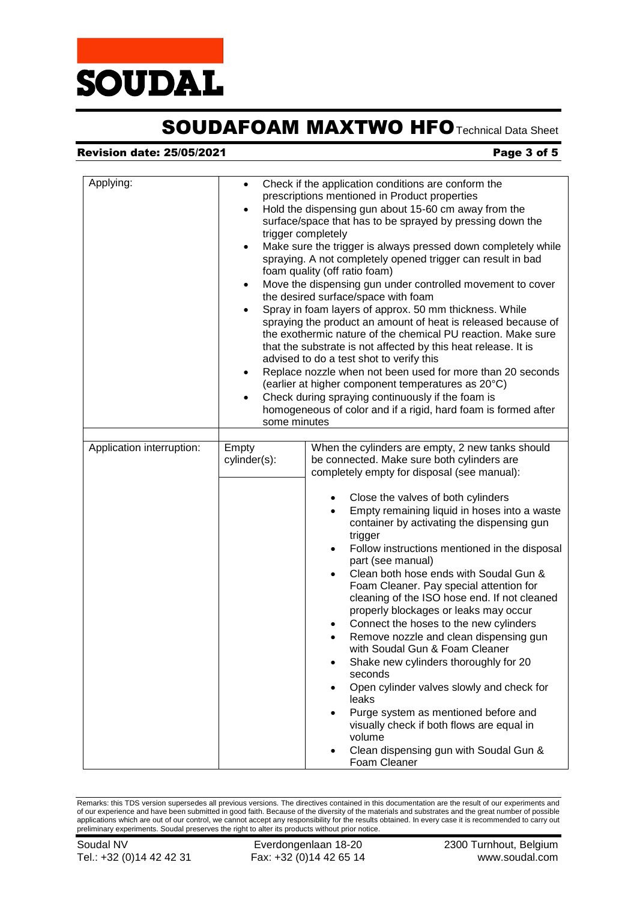

# SOUDAFOAM MAXTWO HFO Technical Data Sheet

## **Revision date: 25/05/2021 Page 3 of 5**

| Applying:                 | $\bullet$<br>$\bullet$<br>$\bullet$<br>$\bullet$<br>$\bullet$<br>$\bullet$<br>$\bullet$ | Check if the application conditions are conform the<br>prescriptions mentioned in Product properties<br>Hold the dispensing gun about 15-60 cm away from the<br>surface/space that has to be sprayed by pressing down the<br>trigger completely<br>Make sure the trigger is always pressed down completely while<br>spraying. A not completely opened trigger can result in bad<br>foam quality (off ratio foam)<br>Move the dispensing gun under controlled movement to cover<br>the desired surface/space with foam<br>Spray in foam layers of approx. 50 mm thickness. While<br>spraying the product an amount of heat is released because of<br>the exothermic nature of the chemical PU reaction. Make sure<br>that the substrate is not affected by this heat release. It is<br>advised to do a test shot to verify this<br>Replace nozzle when not been used for more than 20 seconds<br>(earlier at higher component temperatures as 20°C)<br>Check during spraying continuously if the foam is<br>homogeneous of color and if a rigid, hard foam is formed after<br>some minutes |  |
|---------------------------|-----------------------------------------------------------------------------------------|-------------------------------------------------------------------------------------------------------------------------------------------------------------------------------------------------------------------------------------------------------------------------------------------------------------------------------------------------------------------------------------------------------------------------------------------------------------------------------------------------------------------------------------------------------------------------------------------------------------------------------------------------------------------------------------------------------------------------------------------------------------------------------------------------------------------------------------------------------------------------------------------------------------------------------------------------------------------------------------------------------------------------------------------------------------------------------------------|--|
| Application interruption: | Empty<br>cylinder(s):                                                                   | When the cylinders are empty, 2 new tanks should<br>be connected. Make sure both cylinders are<br>completely empty for disposal (see manual):<br>Close the valves of both cylinders<br>Empty remaining liquid in hoses into a waste<br>container by activating the dispensing gun<br>trigger<br>Follow instructions mentioned in the disposal<br>part (see manual)<br>Clean both hose ends with Soudal Gun &<br>Foam Cleaner. Pay special attention for<br>cleaning of the ISO hose end. If not cleaned<br>properly blockages or leaks may occur<br>Connect the hoses to the new cylinders<br>$\bullet$<br>Remove nozzle and clean dispensing gun<br>with Soudal Gun & Foam Cleaner<br>Shake new cylinders thoroughly for 20<br>seconds<br>Open cylinder valves slowly and check for<br>٠<br>leaks<br>Purge system as mentioned before and<br>$\bullet$<br>visually check if both flows are equal in<br>volume                                                                                                                                                                            |  |
|                           |                                                                                         | Clean dispensing gun with Soudal Gun &<br>Foam Cleaner                                                                                                                                                                                                                                                                                                                                                                                                                                                                                                                                                                                                                                                                                                                                                                                                                                                                                                                                                                                                                                    |  |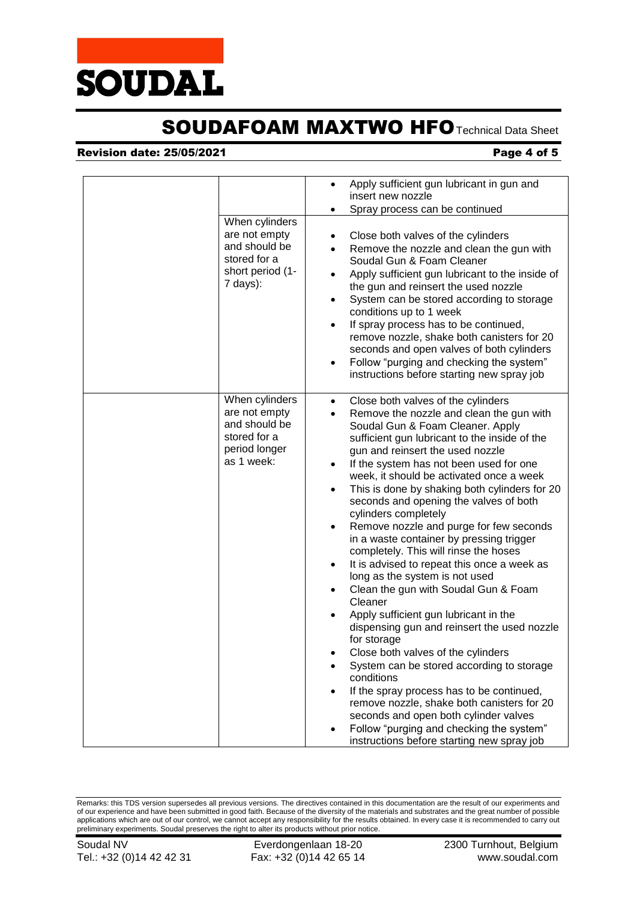

# SOUDAFOAM MAXTWO HFO Technical Data Sheet

## **Revision date: 25/05/2021 Page 4 of 5**

|                                                                                                  | Apply sufficient gun lubricant in gun and<br>$\bullet$<br>insert new nozzle<br>Spray process can be continued<br>٠                                                                                                                                                                                                                                                                                                                                                                                                                                                                                                                                                                                                                                                                                                                                                                                                                                                                                                                                                                                                                                                                                                     |
|--------------------------------------------------------------------------------------------------|------------------------------------------------------------------------------------------------------------------------------------------------------------------------------------------------------------------------------------------------------------------------------------------------------------------------------------------------------------------------------------------------------------------------------------------------------------------------------------------------------------------------------------------------------------------------------------------------------------------------------------------------------------------------------------------------------------------------------------------------------------------------------------------------------------------------------------------------------------------------------------------------------------------------------------------------------------------------------------------------------------------------------------------------------------------------------------------------------------------------------------------------------------------------------------------------------------------------|
| When cylinders<br>are not empty<br>and should be<br>stored for a<br>short period (1-<br>7 days): | Close both valves of the cylinders<br>Remove the nozzle and clean the gun with<br>Soudal Gun & Foam Cleaner<br>Apply sufficient gun lubricant to the inside of<br>the gun and reinsert the used nozzle<br>System can be stored according to storage<br>$\bullet$<br>conditions up to 1 week<br>If spray process has to be continued,<br>$\bullet$<br>remove nozzle, shake both canisters for 20<br>seconds and open valves of both cylinders<br>Follow "purging and checking the system"<br>$\bullet$<br>instructions before starting new spray job                                                                                                                                                                                                                                                                                                                                                                                                                                                                                                                                                                                                                                                                    |
| When cylinders<br>are not empty<br>and should be<br>stored for a<br>period longer<br>as 1 week:  | Close both valves of the cylinders<br>$\bullet$<br>Remove the nozzle and clean the gun with<br>$\bullet$<br>Soudal Gun & Foam Cleaner. Apply<br>sufficient gun lubricant to the inside of the<br>gun and reinsert the used nozzle<br>If the system has not been used for one<br>$\bullet$<br>week, it should be activated once a week<br>This is done by shaking both cylinders for 20<br>$\bullet$<br>seconds and opening the valves of both<br>cylinders completely<br>Remove nozzle and purge for few seconds<br>$\bullet$<br>in a waste container by pressing trigger<br>completely. This will rinse the hoses<br>It is advised to repeat this once a week as<br>$\bullet$<br>long as the system is not used<br>Clean the gun with Soudal Gun & Foam<br>$\bullet$<br>Cleaner<br>Apply sufficient gun lubricant in the<br>dispensing gun and reinsert the used nozzle<br>for storage<br>Close both valves of the cylinders<br>System can be stored according to storage<br>conditions<br>If the spray process has to be continued,<br>remove nozzle, shake both canisters for 20<br>seconds and open both cylinder valves<br>Follow "purging and checking the system"<br>instructions before starting new spray job |